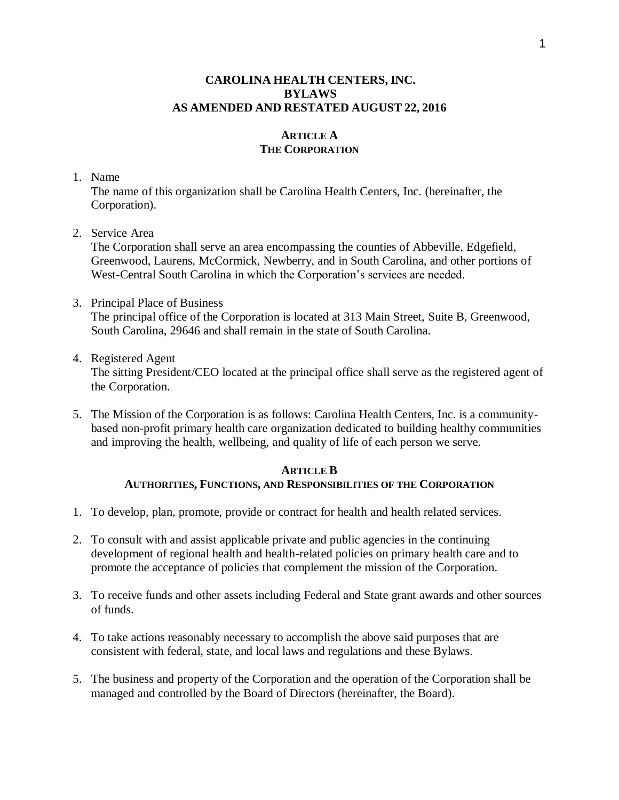### **CAROLINA HEALTH CENTERS, INC. BYLAWS AS AMENDED AND RESTATED AUGUST 22, 2016**

# **ARTICLE A THE CORPORATION**

#### 1. Name

The name of this organization shall be Carolina Health Centers, Inc. (hereinafter, the Corporation).

2. Service Area

The Corporation shall serve an area encompassing the counties of Abbeville, Edgefield, Greenwood, Laurens, McCormick, Newberry, and in South Carolina, and other portions of West-Central South Carolina in which the Corporation's services are needed.

- 3. Principal Place of Business The principal office of the Corporation is located at 313 Main Street, Suite B, Greenwood, South Carolina, 29646 and shall remain in the state of South Carolina.
- 4. Registered Agent

The sitting President/CEO located at the principal office shall serve as the registered agent of the Corporation.

5. The Mission of the Corporation is as follows: Carolina Health Centers, Inc. is a communitybased non-profit primary health care organization dedicated to building healthy communities and improving the health, wellbeing, and quality of life of each person we serve.

#### **ARTICLE B AUTHORITIES, FUNCTIONS, AND RESPONSIBILITIES OF THE CORPORATION**

- 1. To develop, plan, promote, provide or contract for health and health related services.
- 2. To consult with and assist applicable private and public agencies in the continuing development of regional health and health-related policies on primary health care and to promote the acceptance of policies that complement the mission of the Corporation.
- 3. To receive funds and other assets including Federal and State grant awards and other sources of funds.
- 4. To take actions reasonably necessary to accomplish the above said purposes that are consistent with federal, state, and local laws and regulations and these Bylaws.
- 5. The business and property of the Corporation and the operation of the Corporation shall be managed and controlled by the Board of Directors (hereinafter, the Board).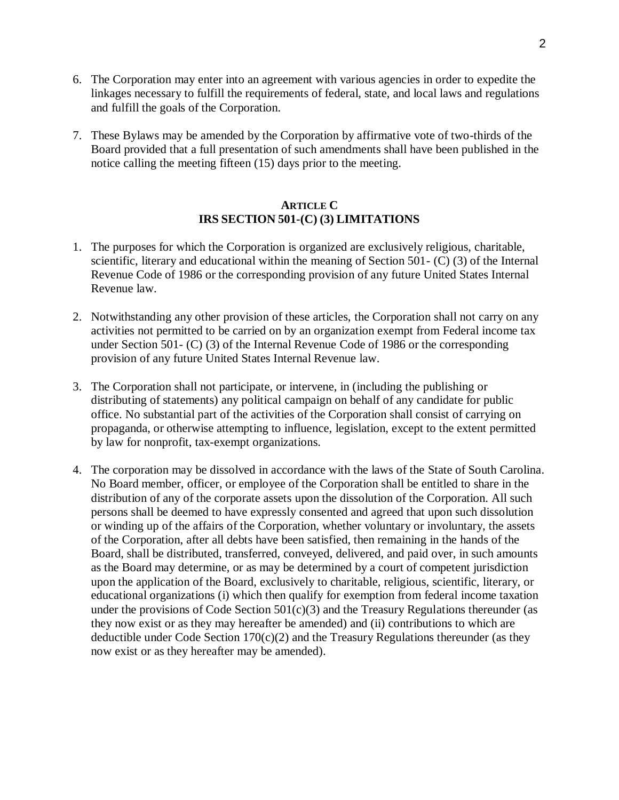- 6. The Corporation may enter into an agreement with various agencies in order to expedite the linkages necessary to fulfill the requirements of federal, state, and local laws and regulations and fulfill the goals of the Corporation.
- 7. These Bylaws may be amended by the Corporation by affirmative vote of two-thirds of the Board provided that a full presentation of such amendments shall have been published in the notice calling the meeting fifteen (15) days prior to the meeting.

## **ARTICLE C IRS SECTION 501-(C) (3) LIMITATIONS**

- 1. The purposes for which the Corporation is organized are exclusively religious, charitable, scientific, literary and educational within the meaning of Section 501- (C) (3) of the Internal Revenue Code of 1986 or the corresponding provision of any future United States Internal Revenue law.
- 2. Notwithstanding any other provision of these articles, the Corporation shall not carry on any activities not permitted to be carried on by an organization exempt from Federal income tax under Section 501- (C) (3) of the Internal Revenue Code of 1986 or the corresponding provision of any future United States Internal Revenue law.
- 3. The Corporation shall not participate, or intervene, in (including the publishing or distributing of statements) any political campaign on behalf of any candidate for public office. No substantial part of the activities of the Corporation shall consist of carrying on propaganda, or otherwise attempting to influence, legislation, except to the extent permitted by law for nonprofit, tax-exempt organizations.
- 4. The corporation may be dissolved in accordance with the laws of the State of South Carolina. No Board member, officer, or employee of the Corporation shall be entitled to share in the distribution of any of the corporate assets upon the dissolution of the Corporation. All such persons shall be deemed to have expressly consented and agreed that upon such dissolution or winding up of the affairs of the Corporation, whether voluntary or involuntary, the assets of the Corporation, after all debts have been satisfied, then remaining in the hands of the Board, shall be distributed, transferred, conveyed, delivered, and paid over, in such amounts as the Board may determine, or as may be determined by a court of competent jurisdiction upon the application of the Board, exclusively to charitable, religious, scientific, literary, or educational organizations (i) which then qualify for exemption from federal income taxation under the provisions of Code Section  $501(c)(3)$  and the Treasury Regulations thereunder (as they now exist or as they may hereafter be amended) and (ii) contributions to which are deductible under Code Section  $170(c)(2)$  and the Treasury Regulations thereunder (as they now exist or as they hereafter may be amended).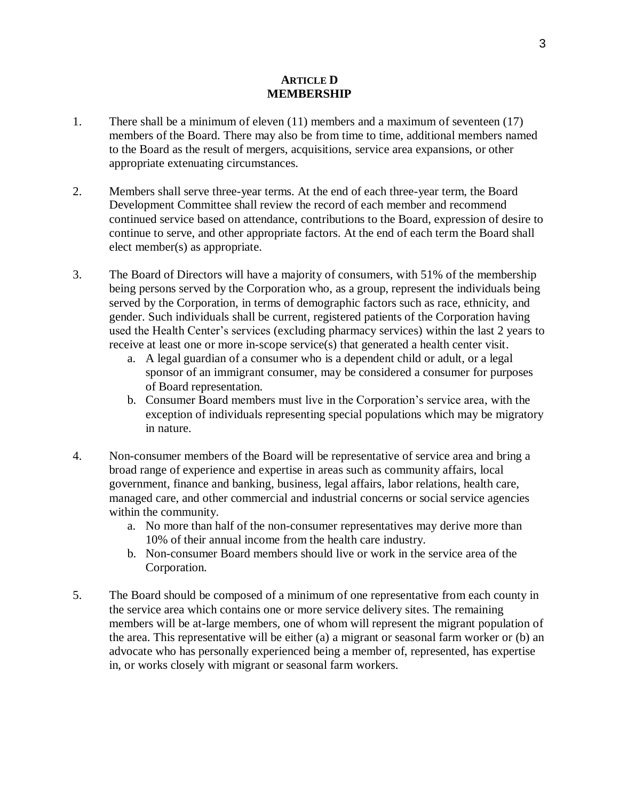#### **ARTICLE D MEMBERSHIP**

- 1. There shall be a minimum of eleven (11) members and a maximum of seventeen (17) members of the Board. There may also be from time to time, additional members named to the Board as the result of mergers, acquisitions, service area expansions, or other appropriate extenuating circumstances.
- 2. Members shall serve three-year terms. At the end of each three-year term, the Board Development Committee shall review the record of each member and recommend continued service based on attendance, contributions to the Board, expression of desire to continue to serve, and other appropriate factors. At the end of each term the Board shall elect member(s) as appropriate.
- 3. The Board of Directors will have a majority of consumers, with 51% of the membership being persons served by the Corporation who, as a group, represent the individuals being served by the Corporation, in terms of demographic factors such as race, ethnicity, and gender. Such individuals shall be current, registered patients of the Corporation having used the Health Center's services (excluding pharmacy services) within the last 2 years to receive at least one or more in-scope service(s) that generated a health center visit.
	- a. A legal guardian of a consumer who is a dependent child or adult, or a legal sponsor of an immigrant consumer, may be considered a consumer for purposes of Board representation.
	- b. Consumer Board members must live in the Corporation's service area, with the exception of individuals representing special populations which may be migratory in nature.
- 4. Non-consumer members of the Board will be representative of service area and bring a broad range of experience and expertise in areas such as community affairs, local government, finance and banking, business, legal affairs, labor relations, health care, managed care, and other commercial and industrial concerns or social service agencies within the community.
	- a. No more than half of the non-consumer representatives may derive more than 10% of their annual income from the health care industry.
	- b. Non-consumer Board members should live or work in the service area of the Corporation.
- 5. The Board should be composed of a minimum of one representative from each county in the service area which contains one or more service delivery sites. The remaining members will be at-large members, one of whom will represent the migrant population of the area. This representative will be either (a) a migrant or seasonal farm worker or (b) an advocate who has personally experienced being a member of, represented, has expertise in, or works closely with migrant or seasonal farm workers.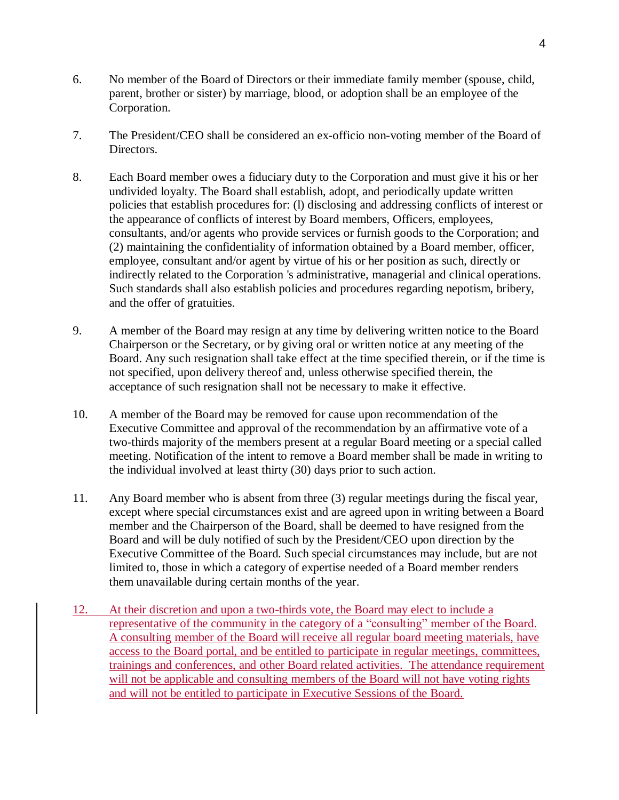- 6. No member of the Board of Directors or their immediate family member (spouse, child, parent, brother or sister) by marriage, blood, or adoption shall be an employee of the Corporation.
- 7. The President/CEO shall be considered an ex-officio non-voting member of the Board of Directors.
- 8. Each Board member owes a fiduciary duty to the Corporation and must give it his or her undivided loyalty. The Board shall establish, adopt, and periodically update written policies that establish procedures for: (l) disclosing and addressing conflicts of interest or the appearance of conflicts of interest by Board members, Officers, employees, consultants, and/or agents who provide services or furnish goods to the Corporation; and (2) maintaining the confidentiality of information obtained by a Board member, officer, employee, consultant and/or agent by virtue of his or her position as such, directly or indirectly related to the Corporation 's administrative, managerial and clinical operations. Such standards shall also establish policies and procedures regarding nepotism, bribery, and the offer of gratuities.
- 9. A member of the Board may resign at any time by delivering written notice to the Board Chairperson or the Secretary, or by giving oral or written notice at any meeting of the Board. Any such resignation shall take effect at the time specified therein, or if the time is not specified, upon delivery thereof and, unless otherwise specified therein, the acceptance of such resignation shall not be necessary to make it effective.
- 10. A member of the Board may be removed for cause upon recommendation of the Executive Committee and approval of the recommendation by an affirmative vote of a two-thirds majority of the members present at a regular Board meeting or a special called meeting. Notification of the intent to remove a Board member shall be made in writing to the individual involved at least thirty (30) days prior to such action.
- 11. Any Board member who is absent from three (3) regular meetings during the fiscal year, except where special circumstances exist and are agreed upon in writing between a Board member and the Chairperson of the Board, shall be deemed to have resigned from the Board and will be duly notified of such by the President/CEO upon direction by the Executive Committee of the Board. Such special circumstances may include, but are not limited to, those in which a category of expertise needed of a Board member renders them unavailable during certain months of the year.
- 12. At their discretion and upon a two-thirds vote, the Board may elect to include a representative of the community in the category of a "consulting" member of the Board. A consulting member of the Board will receive all regular board meeting materials, have access to the Board portal, and be entitled to participate in regular meetings, committees, trainings and conferences, and other Board related activities. The attendance requirement will not be applicable and consulting members of the Board will not have voting rights and will not be entitled to participate in Executive Sessions of the Board.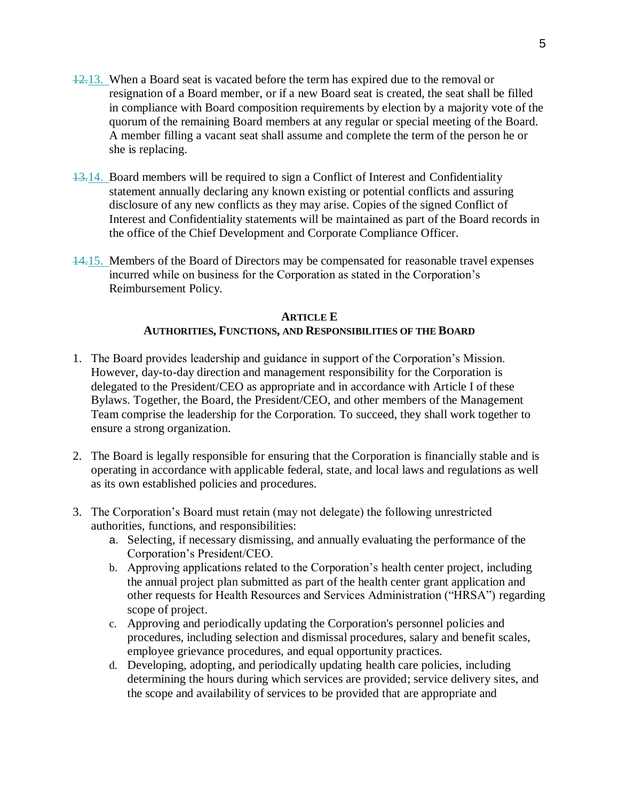- 12.13. When a Board seat is vacated before the term has expired due to the removal or resignation of a Board member, or if a new Board seat is created, the seat shall be filled in compliance with Board composition requirements by election by a majority vote of the quorum of the remaining Board members at any regular or special meeting of the Board. A member filling a vacant seat shall assume and complete the term of the person he or she is replacing.
- 13.14. Board members will be required to sign a Conflict of Interest and Confidentiality statement annually declaring any known existing or potential conflicts and assuring disclosure of any new conflicts as they may arise. Copies of the signed Conflict of Interest and Confidentiality statements will be maintained as part of the Board records in the office of the Chief Development and Corporate Compliance Officer.
- 14.15. Members of the Board of Directors may be compensated for reasonable travel expenses incurred while on business for the Corporation as stated in the Corporation's Reimbursement Policy.

### **ARTICLE E AUTHORITIES, FUNCTIONS, AND RESPONSIBILITIES OF THE BOARD**

- 1. The Board provides leadership and guidance in support of the Corporation's Mission. However, day-to-day direction and management responsibility for the Corporation is delegated to the President/CEO as appropriate and in accordance with Article I of these Bylaws. Together, the Board, the President/CEO, and other members of the Management Team comprise the leadership for the Corporation. To succeed, they shall work together to ensure a strong organization.
- 2. The Board is legally responsible for ensuring that the Corporation is financially stable and is operating in accordance with applicable federal, state, and local laws and regulations as well as its own established policies and procedures.
- 3. The Corporation's Board must retain (may not delegate) the following unrestricted authorities, functions, and responsibilities:
	- a. Selecting, if necessary dismissing, and annually evaluating the performance of the Corporation's President/CEO.
	- b. Approving applications related to the Corporation's health center project, including the annual project plan submitted as part of the health center grant application and other requests for Health Resources and Services Administration ("HRSA") regarding scope of project.
	- c. Approving and periodically updating the Corporation's personnel policies and procedures, including selection and dismissal procedures, salary and benefit scales, employee grievance procedures, and equal opportunity practices.
	- d. Developing, adopting, and periodically updating health care policies, including determining the hours during which services are provided; service delivery sites, and the scope and availability of services to be provided that are appropriate and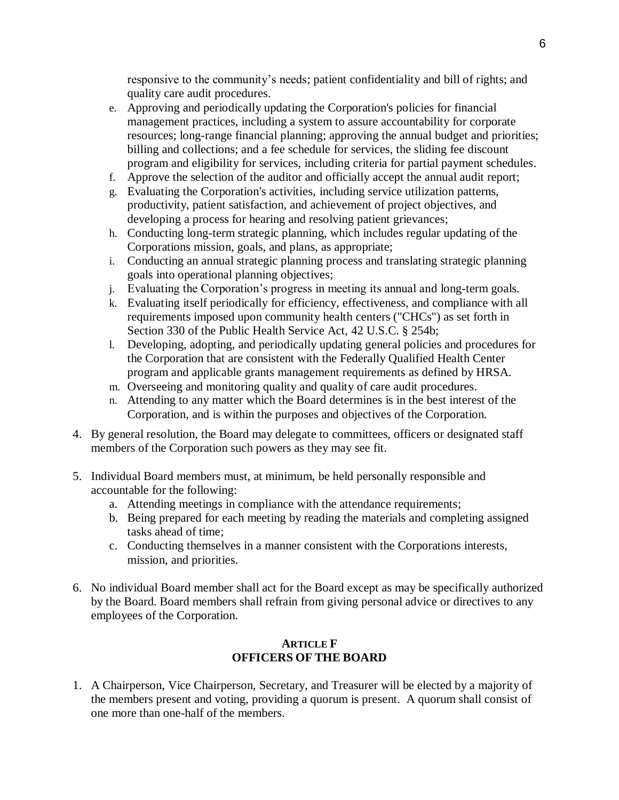responsive to the community's needs; patient confidentiality and bill of rights; and quality care audit procedures.

- e. Approving and periodically updating the Corporation's policies for financial management practices, including a system to assure accountability for corporate resources; long-range financial planning; approving the annual budget and priorities; billing and collections; and a fee schedule for services, the sliding fee discount program and eligibility for services, including criteria for partial payment schedules.
- f. Approve the selection of the auditor and officially accept the annual audit report;
- g. Evaluating the Corporation's activities, including service utilization patterns, productivity, patient satisfaction, and achievement of project objectives, and developing a process for hearing and resolving patient grievances;
- h. Conducting long-term strategic planning, which includes regular updating of the Corporations mission, goals, and plans, as appropriate;
- i. Conducting an annual strategic planning process and translating strategic planning goals into operational planning objectives;
- j. Evaluating the Corporation's progress in meeting its annual and long-term goals.
- k. Evaluating itself periodically for efficiency, effectiveness, and compliance with all requirements imposed upon community health centers ("CHCs") as set forth in Section 330 of the Public Health Service Act, 42 U.S.C. § 254b;
- l. Developing, adopting, and periodically updating general policies and procedures for the Corporation that are consistent with the Federally Qualified Health Center program and applicable grants management requirements as defined by HRSA.
- m. Overseeing and monitoring quality and quality of care audit procedures.
- n. Attending to any matter which the Board determines is in the best interest of the Corporation, and is within the purposes and objectives of the Corporation.
- 4. By general resolution, the Board may delegate to committees, officers or designated staff members of the Corporation such powers as they may see fit.
- 5. Individual Board members must, at minimum, be held personally responsible and accountable for the following:
	- a. Attending meetings in compliance with the attendance requirements;
	- b. Being prepared for each meeting by reading the materials and completing assigned tasks ahead of time;
	- c. Conducting themselves in a manner consistent with the Corporations interests, mission, and priorities.
- 6. No individual Board member shall act for the Board except as may be specifically authorized by the Board. Board members shall refrain from giving personal advice or directives to any employees of the Corporation.

### **ARTICLE F OFFICERS OF THE BOARD**

1. A Chairperson, Vice Chairperson, Secretary, and Treasurer will be elected by a majority of the members present and voting, providing a quorum is present. A quorum shall consist of one more than one-half of the members.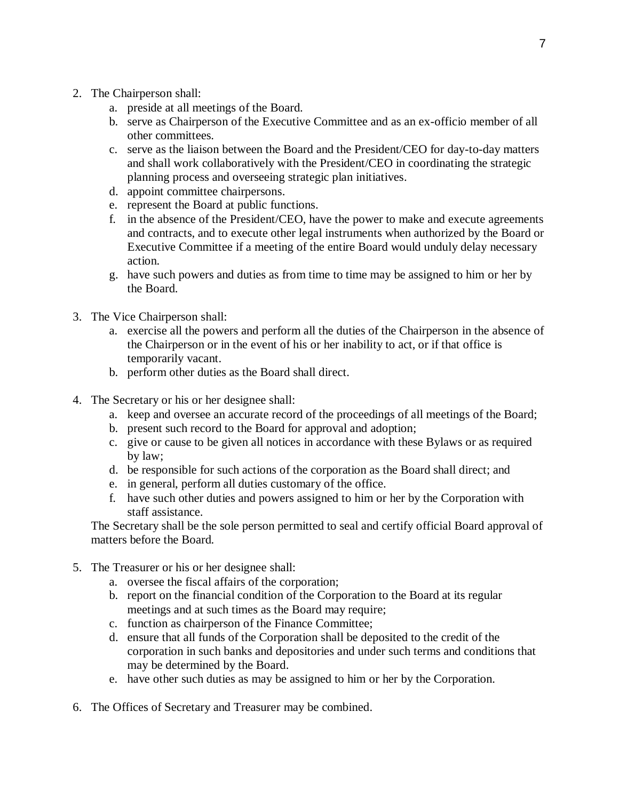- 2. The Chairperson shall:
	- a. preside at all meetings of the Board.
	- b. serve as Chairperson of the Executive Committee and as an ex-officio member of all other committees.
	- c. serve as the liaison between the Board and the President/CEO for day-to-day matters and shall work collaboratively with the President/CEO in coordinating the strategic planning process and overseeing strategic plan initiatives.
	- d. appoint committee chairpersons.
	- e. represent the Board at public functions.
	- f. in the absence of the President/CEO, have the power to make and execute agreements and contracts, and to execute other legal instruments when authorized by the Board or Executive Committee if a meeting of the entire Board would unduly delay necessary action.
	- g. have such powers and duties as from time to time may be assigned to him or her by the Board.
- 3. The Vice Chairperson shall:
	- a. exercise all the powers and perform all the duties of the Chairperson in the absence of the Chairperson or in the event of his or her inability to act, or if that office is temporarily vacant.
	- b. perform other duties as the Board shall direct.
- 4. The Secretary or his or her designee shall:
	- a. keep and oversee an accurate record of the proceedings of all meetings of the Board;
	- b. present such record to the Board for approval and adoption;
	- c. give or cause to be given all notices in accordance with these Bylaws or as required by law;
	- d. be responsible for such actions of the corporation as the Board shall direct; and
	- e. in general, perform all duties customary of the office.
	- f. have such other duties and powers assigned to him or her by the Corporation with staff assistance.

The Secretary shall be the sole person permitted to seal and certify official Board approval of matters before the Board.

- 5. The Treasurer or his or her designee shall:
	- a. oversee the fiscal affairs of the corporation;
	- b. report on the financial condition of the Corporation to the Board at its regular meetings and at such times as the Board may require;
	- c. function as chairperson of the Finance Committee;
	- d. ensure that all funds of the Corporation shall be deposited to the credit of the corporation in such banks and depositories and under such terms and conditions that may be determined by the Board.
	- e. have other such duties as may be assigned to him or her by the Corporation.
- 6. The Offices of Secretary and Treasurer may be combined.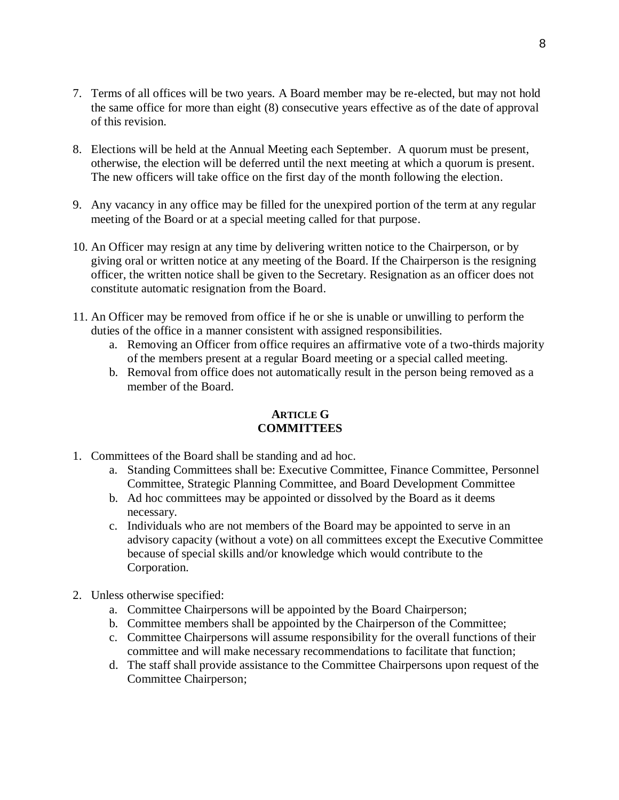- 7. Terms of all offices will be two years. A Board member may be re-elected, but may not hold the same office for more than eight (8) consecutive years effective as of the date of approval of this revision.
- 8. Elections will be held at the Annual Meeting each September. A quorum must be present, otherwise, the election will be deferred until the next meeting at which a quorum is present. The new officers will take office on the first day of the month following the election.
- 9. Any vacancy in any office may be filled for the unexpired portion of the term at any regular meeting of the Board or at a special meeting called for that purpose.
- 10. An Officer may resign at any time by delivering written notice to the Chairperson, or by giving oral or written notice at any meeting of the Board. If the Chairperson is the resigning officer, the written notice shall be given to the Secretary. Resignation as an officer does not constitute automatic resignation from the Board.
- 11. An Officer may be removed from office if he or she is unable or unwilling to perform the duties of the office in a manner consistent with assigned responsibilities.
	- a. Removing an Officer from office requires an affirmative vote of a two-thirds majority of the members present at a regular Board meeting or a special called meeting.
	- b. Removal from office does not automatically result in the person being removed as a member of the Board.

### **ARTICLE G COMMITTEES**

- 1. Committees of the Board shall be standing and ad hoc.
	- a. Standing Committees shall be: Executive Committee, Finance Committee, Personnel Committee, Strategic Planning Committee, and Board Development Committee
	- b. Ad hoc committees may be appointed or dissolved by the Board as it deems necessary.
	- c. Individuals who are not members of the Board may be appointed to serve in an advisory capacity (without a vote) on all committees except the Executive Committee because of special skills and/or knowledge which would contribute to the Corporation.
- 2. Unless otherwise specified:
	- a. Committee Chairpersons will be appointed by the Board Chairperson;
	- b. Committee members shall be appointed by the Chairperson of the Committee;
	- c. Committee Chairpersons will assume responsibility for the overall functions of their committee and will make necessary recommendations to facilitate that function;
	- d. The staff shall provide assistance to the Committee Chairpersons upon request of the Committee Chairperson;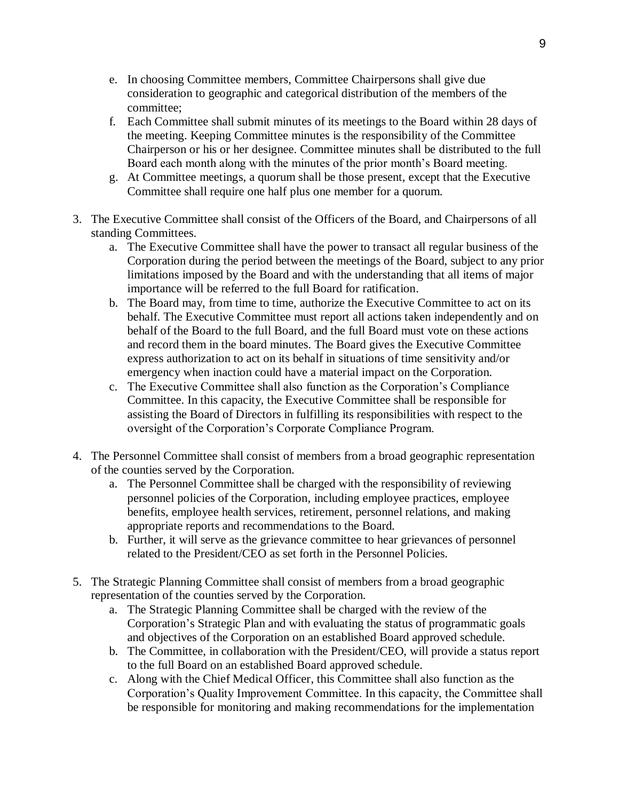- e. In choosing Committee members, Committee Chairpersons shall give due consideration to geographic and categorical distribution of the members of the committee;
- f. Each Committee shall submit minutes of its meetings to the Board within 28 days of the meeting. Keeping Committee minutes is the responsibility of the Committee Chairperson or his or her designee. Committee minutes shall be distributed to the full Board each month along with the minutes of the prior month's Board meeting.
- g. At Committee meetings, a quorum shall be those present, except that the Executive Committee shall require one half plus one member for a quorum.
- 3. The Executive Committee shall consist of the Officers of the Board, and Chairpersons of all standing Committees.
	- a. The Executive Committee shall have the power to transact all regular business of the Corporation during the period between the meetings of the Board, subject to any prior limitations imposed by the Board and with the understanding that all items of major importance will be referred to the full Board for ratification.
	- b. The Board may, from time to time, authorize the Executive Committee to act on its behalf. The Executive Committee must report all actions taken independently and on behalf of the Board to the full Board, and the full Board must vote on these actions and record them in the board minutes. The Board gives the Executive Committee express authorization to act on its behalf in situations of time sensitivity and/or emergency when inaction could have a material impact on the Corporation.
	- c. The Executive Committee shall also function as the Corporation's Compliance Committee. In this capacity, the Executive Committee shall be responsible for assisting the Board of Directors in fulfilling its responsibilities with respect to the oversight of the Corporation's Corporate Compliance Program.
- 4. The Personnel Committee shall consist of members from a broad geographic representation of the counties served by the Corporation.
	- a. The Personnel Committee shall be charged with the responsibility of reviewing personnel policies of the Corporation, including employee practices, employee benefits, employee health services, retirement, personnel relations, and making appropriate reports and recommendations to the Board.
	- b. Further, it will serve as the grievance committee to hear grievances of personnel related to the President/CEO as set forth in the Personnel Policies.
- 5. The Strategic Planning Committee shall consist of members from a broad geographic representation of the counties served by the Corporation.
	- a. The Strategic Planning Committee shall be charged with the review of the Corporation's Strategic Plan and with evaluating the status of programmatic goals and objectives of the Corporation on an established Board approved schedule.
	- b. The Committee, in collaboration with the President/CEO, will provide a status report to the full Board on an established Board approved schedule.
	- c. Along with the Chief Medical Officer, this Committee shall also function as the Corporation's Quality Improvement Committee. In this capacity, the Committee shall be responsible for monitoring and making recommendations for the implementation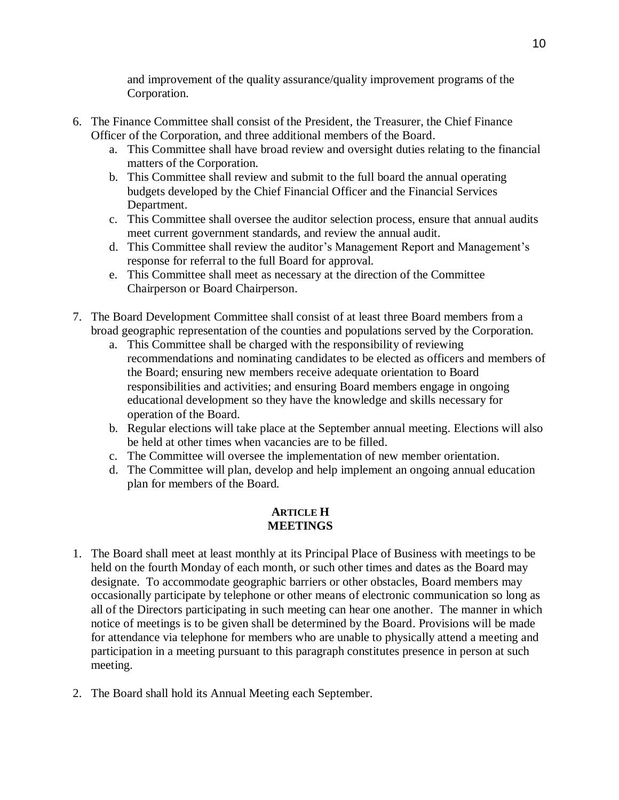and improvement of the quality assurance/quality improvement programs of the Corporation.

- 6. The Finance Committee shall consist of the President, the Treasurer, the Chief Finance Officer of the Corporation, and three additional members of the Board.
	- a. This Committee shall have broad review and oversight duties relating to the financial matters of the Corporation.
	- b. This Committee shall review and submit to the full board the annual operating budgets developed by the Chief Financial Officer and the Financial Services Department.
	- c. This Committee shall oversee the auditor selection process, ensure that annual audits meet current government standards, and review the annual audit.
	- d. This Committee shall review the auditor's Management Report and Management's response for referral to the full Board for approval.
	- e. This Committee shall meet as necessary at the direction of the Committee Chairperson or Board Chairperson.
- 7. The Board Development Committee shall consist of at least three Board members from a broad geographic representation of the counties and populations served by the Corporation.
	- a. This Committee shall be charged with the responsibility of reviewing recommendations and nominating candidates to be elected as officers and members of the Board; ensuring new members receive adequate orientation to Board responsibilities and activities; and ensuring Board members engage in ongoing educational development so they have the knowledge and skills necessary for operation of the Board.
	- b. Regular elections will take place at the September annual meeting. Elections will also be held at other times when vacancies are to be filled.
	- c. The Committee will oversee the implementation of new member orientation.
	- d. The Committee will plan, develop and help implement an ongoing annual education plan for members of the Board.

# **ARTICLE H MEETINGS**

- 1. The Board shall meet at least monthly at its Principal Place of Business with meetings to be held on the fourth Monday of each month, or such other times and dates as the Board may designate. To accommodate geographic barriers or other obstacles, Board members may occasionally participate by telephone or other means of electronic communication so long as all of the Directors participating in such meeting can hear one another. The manner in which notice of meetings is to be given shall be determined by the Board. Provisions will be made for attendance via telephone for members who are unable to physically attend a meeting and participation in a meeting pursuant to this paragraph constitutes presence in person at such meeting.
- 2. The Board shall hold its Annual Meeting each September.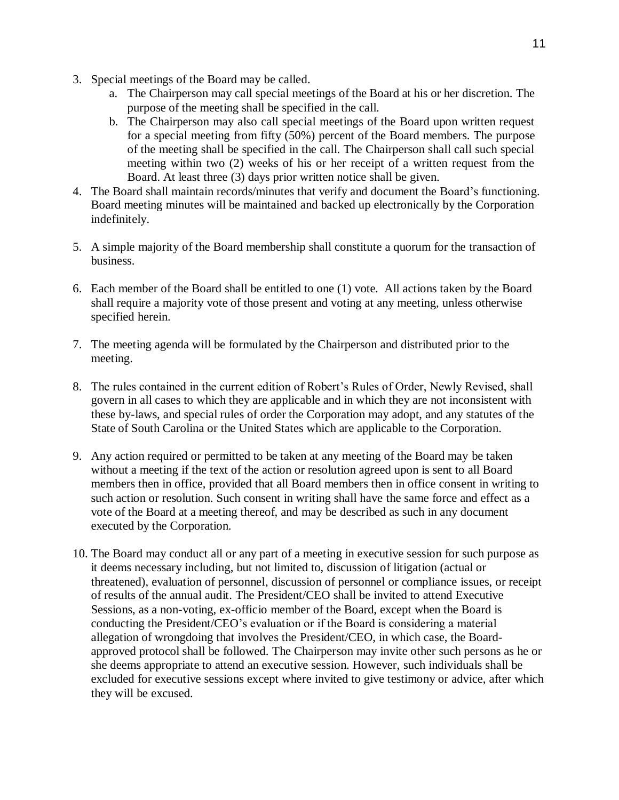- 3. Special meetings of the Board may be called.
	- a. The Chairperson may call special meetings of the Board at his or her discretion. The purpose of the meeting shall be specified in the call.
	- b. The Chairperson may also call special meetings of the Board upon written request for a special meeting from fifty (50%) percent of the Board members. The purpose of the meeting shall be specified in the call. The Chairperson shall call such special meeting within two (2) weeks of his or her receipt of a written request from the Board. At least three (3) days prior written notice shall be given.
- 4. The Board shall maintain records/minutes that verify and document the Board's functioning. Board meeting minutes will be maintained and backed up electronically by the Corporation indefinitely.
- 5. A simple majority of the Board membership shall constitute a quorum for the transaction of business.
- 6. Each member of the Board shall be entitled to one (1) vote. All actions taken by the Board shall require a majority vote of those present and voting at any meeting, unless otherwise specified herein.
- 7. The meeting agenda will be formulated by the Chairperson and distributed prior to the meeting.
- 8. The rules contained in the current edition of Robert's Rules of Order, Newly Revised, shall govern in all cases to which they are applicable and in which they are not inconsistent with these by-laws, and special rules of order the Corporation may adopt, and any statutes of the State of South Carolina or the United States which are applicable to the Corporation.
- 9. Any action required or permitted to be taken at any meeting of the Board may be taken without a meeting if the text of the action or resolution agreed upon is sent to all Board members then in office, provided that all Board members then in office consent in writing to such action or resolution. Such consent in writing shall have the same force and effect as a vote of the Board at a meeting thereof, and may be described as such in any document executed by the Corporation.
- 10. The Board may conduct all or any part of a meeting in executive session for such purpose as it deems necessary including, but not limited to, discussion of litigation (actual or threatened), evaluation of personnel, discussion of personnel or compliance issues, or receipt of results of the annual audit. The President/CEO shall be invited to attend Executive Sessions, as a non-voting, ex-officio member of the Board, except when the Board is conducting the President/CEO's evaluation or if the Board is considering a material allegation of wrongdoing that involves the President/CEO, in which case, the Boardapproved protocol shall be followed. The Chairperson may invite other such persons as he or she deems appropriate to attend an executive session. However, such individuals shall be excluded for executive sessions except where invited to give testimony or advice, after which they will be excused.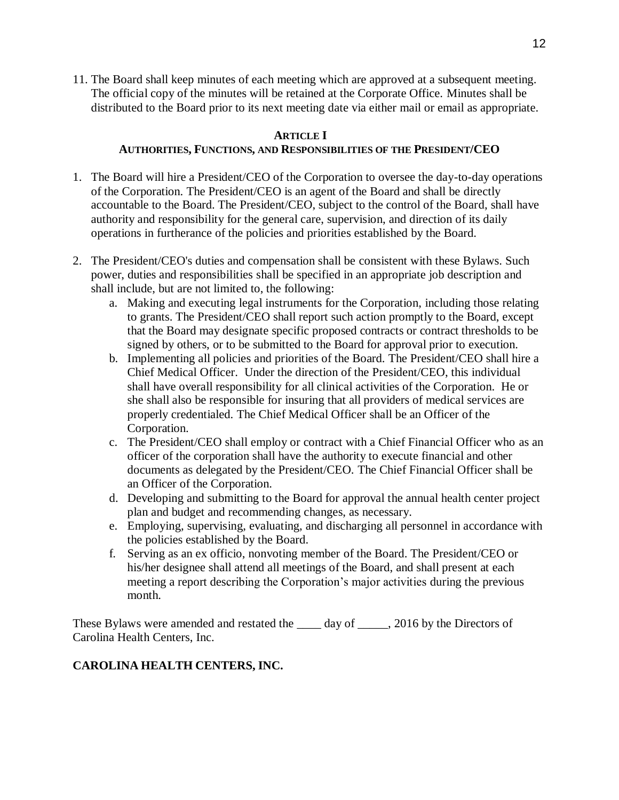11. The Board shall keep minutes of each meeting which are approved at a subsequent meeting. The official copy of the minutes will be retained at the Corporate Office. Minutes shall be distributed to the Board prior to its next meeting date via either mail or email as appropriate.

## **ARTICLE I**

# **AUTHORITIES, FUNCTIONS, AND RESPONSIBILITIES OF THE PRESIDENT/CEO**

- 1. The Board will hire a President/CEO of the Corporation to oversee the day-to-day operations of the Corporation. The President/CEO is an agent of the Board and shall be directly accountable to the Board. The President/CEO, subject to the control of the Board, shall have authority and responsibility for the general care, supervision, and direction of its daily operations in furtherance of the policies and priorities established by the Board.
- 2. The President/CEO's duties and compensation shall be consistent with these Bylaws. Such power, duties and responsibilities shall be specified in an appropriate job description and shall include, but are not limited to, the following:
	- a. Making and executing legal instruments for the Corporation, including those relating to grants. The President/CEO shall report such action promptly to the Board, except that the Board may designate specific proposed contracts or contract thresholds to be signed by others, or to be submitted to the Board for approval prior to execution.
	- b. Implementing all policies and priorities of the Board. The President/CEO shall hire a Chief Medical Officer. Under the direction of the President/CEO, this individual shall have overall responsibility for all clinical activities of the Corporation. He or she shall also be responsible for insuring that all providers of medical services are properly credentialed. The Chief Medical Officer shall be an Officer of the Corporation.
	- c. The President/CEO shall employ or contract with a Chief Financial Officer who as an officer of the corporation shall have the authority to execute financial and other documents as delegated by the President/CEO. The Chief Financial Officer shall be an Officer of the Corporation.
	- d. Developing and submitting to the Board for approval the annual health center project plan and budget and recommending changes, as necessary.
	- e. Employing, supervising, evaluating, and discharging all personnel in accordance with the policies established by the Board.
	- f. Serving as an ex officio, nonvoting member of the Board. The President/CEO or his/her designee shall attend all meetings of the Board, and shall present at each meeting a report describing the Corporation's major activities during the previous month.

These Bylaws were amended and restated the \_\_\_\_\_ day of \_\_\_\_\_, 2016 by the Directors of Carolina Health Centers, Inc.

# **CAROLINA HEALTH CENTERS, INC.**